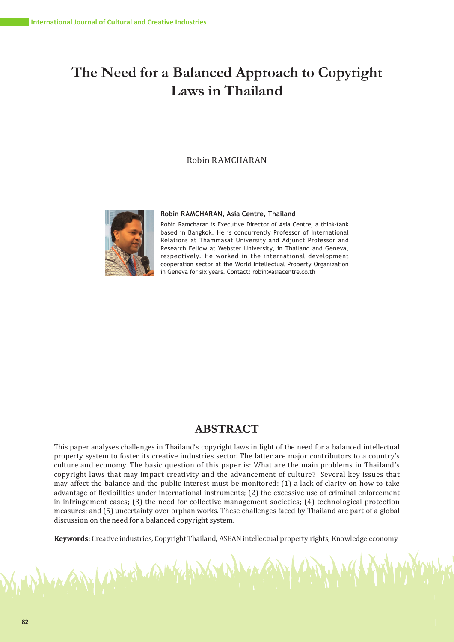# **The Need for a Balanced Approach to Copyright Laws in Thailand**

# Robin RAMCHARAN



Which the

#### **Robin RAMCHARAN, Asia Centre, Thailand**

Robin Ramcharan is Executive Director of Asia Centre, a think-tank based in Bangkok. He is concurrently Professor of International Relations at Thammasat University and Adjunct Professor and Research Fellow at Webster University, in Thailand and Geneva, respectively. He worked in the international development cooperation sector at the World Intellectual Property Organization in Geneva for six years. Contact: robin@asiacentre.co.th

# **ABSTRACT**

This paper analyses challenges in Thailand's copyright laws in light of the need for a balanced intellectual property system to foster its creative industries sector. The latter are major contributors to a country's culture and economy. The basic question of this paper is: What are the main problems in Thailand's copyright laws that may impact creativity and the advancement of culture? Several key issues that may affect the balance and the public interest must be monitored: (1) a lack of clarity on how to take advantage of flexibilities under international instruments; (2) the excessive use of criminal enforcement in infringement cases; (3) the need for collective management societies; (4) technological protection measures; and (5) uncertainty over orphan works. These challenges faced by Thailand are part of a global discussion on the need for a balanced copyright system.

**Keywords:** Creative industries, Copyright Thailand, ASEAN intellectual property rights, Knowledge economy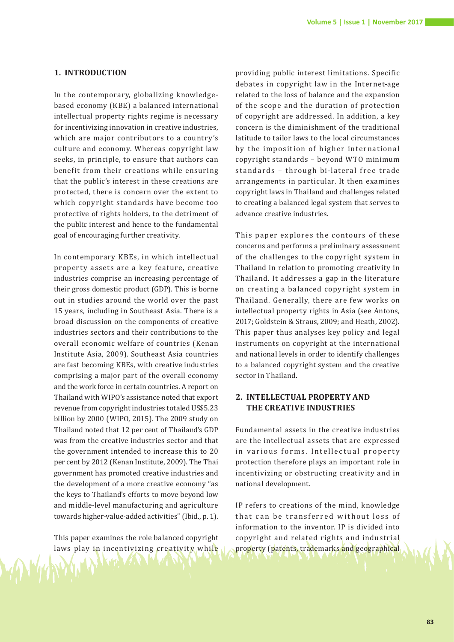# **1. INTRODUCTION**

In the contemporary, globalizing knowledgebased economy (KBE) a balanced international intellectual property rights regime is necessary for incentivizing innovation in creative industries, which are major contributors to a country's culture and economy. Whereas copyright law seeks, in principle, to ensure that authors can benefit from their creations while ensuring that the public's interest in these creations are protected, there is concern over the extent to which copyright standards have become too protective of rights holders, to the detriment of the public interest and hence to the fundamental goal of encouraging further creativity.

In contemporary KBEs, in which intellectual property assets are a key feature, creative industries comprise an increasing percentage of their gross domestic product (GDP). This is borne out in studies around the world over the past 15 years, including in Southeast Asia. There is a broad discussion on the components of creative industries sectors and their contributions to the overall economic welfare of countries (Kenan Institute Asia, 2009). Southeast Asia countries are fast becoming KBEs, with creative industries comprising a major part of the overall economy and the work force in certain countries. A report on Thailand with WIPO's assistance noted that export revenue from copyright industries totaled US\$5.23 billion by 2000 (WIPO, 2015). The 2009 study on Thailand noted that 12 per cent of Thailand's GDP was from the creative industries sector and that the government intended to increase this to 20 per cent by 2012 (Kenan Institute, 2009). The Thai government has promoted creative industries and the development of a more creative economy "as the keys to Thailand's efforts to move beyond low and middle-level manufacturing and agriculture towards higher-value-added activities" (Ibid., p. 1).

This paper examines the role balanced copyright laws play in incentivizing creativity while

providing public interest limitations. Specific debates in copyright law in the Internet-age related to the loss of balance and the expansion of the scope and the duration of protection of copyright are addressed. In addition, a key concern is the diminishment of the traditional latitude to tailor laws to the local circumstances by the imposition of higher international copyright standards – beyond WTO minimum standards - through bi-lateral free trade arrangements in particular. It then examines copyright laws in Thailand and challenges related to creating a balanced legal system that serves to advance creative industries.

This paper explores the contours of these concerns and performs a preliminary assessment of the challenges to the copyright system in Thailand in relation to promoting creativity in Thailand. It addresses a gap in the literature on creating a balanced copyright system in Thailand. Generally, there are few works on intellectual property rights in Asia (see Antons, 2017; Goldstein & Straus, 2009; and Heath, 2002). This paper thus analyses key policy and legal instruments on copyright at the international and national levels in order to identify challenges to a balanced copyright system and the creative sector in Thailand.

# **2. INTELLECTUAL PROPERTY AND THE CREATIVE INDUSTRIES**

Fundamental assets in the creative industries are the intellectual assets that are expressed in various forms. Intellectual property protection therefore plays an important role in incentivizing or obstructing creativity and in national development.

IP refers to creations of the mind, knowledge that can be transferred without loss of information to the inventor. IP is divided into copyright and related rights and industrial property (patents, trademarks and geographical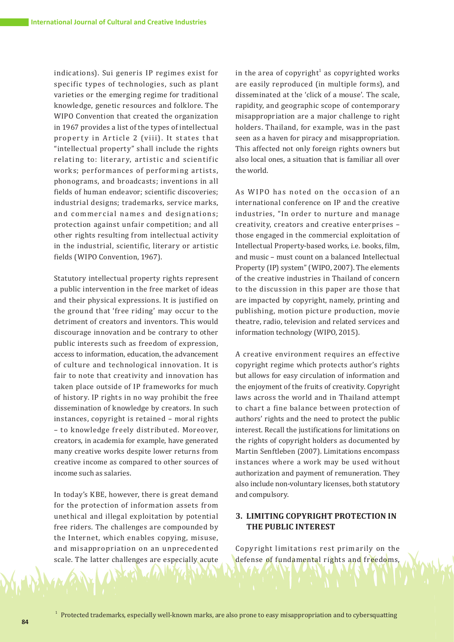indications). Sui generis IP regimes exist for specific types of technologies, such as plant varieties or the emerging regime for traditional knowledge, genetic resources and folklore. The WIPO Convention that created the organization in 1967 provides a list of the types of intellectual property in Article 2 (viii). It states that "intellectual property" shall include the rights relating to: literary, artistic and scientific works; performances of performing artists, phonograms, and broadcasts; inventions in all fields of human endeavor; scientific discoveries; industrial designs; trademarks, service marks, and commercial names and designations; protection against unfair competition; and all other rights resulting from intellectual activity in the industrial, scientific, literary or artistic fields (WIPO Convention, 1967).

Statutory intellectual property rights represent a public intervention in the free market of ideas and their physical expressions. It is justified on the ground that 'free riding' may occur to the detriment of creators and inventors. This would discourage innovation and be contrary to other public interests such as freedom of expression, access to information, education, the advancement of culture and technological innovation. It is fair to note that creativity and innovation has taken place outside of IP frameworks for much of history. IP rights in no way prohibit the free dissemination of knowledge by creators. In such instances, copyright is retained – moral rights – to knowledge freely distributed. Moreover, creators, in academia for example, have generated many creative works despite lower returns from creative income as compared to other sources of income such as salaries.

In today's KBE, however, there is great demand for the protection of information assets from unethical and illegal exploitation by potential free riders. The challenges are compounded by the Internet, which enables copying, misuse, and misappropriation on an unprecedented scale. The latter challenges are especially acute

in the area of copyright<sup>1</sup> as copyrighted works are easily reproduced (in multiple forms), and disseminated at the 'click of a mouse'. The scale, rapidity, and geographic scope of contemporary misappropriation are a major challenge to right holders. Thailand, for example, was in the past seen as a haven for piracy and misappropriation. This affected not only foreign rights owners but also local ones, a situation that is familiar all over the world.

As WIPO has noted on the occasion of an international conference on IP and the creative industries, "In order to nurture and manage creativity, creators and creative enterprises – those engaged in the commercial exploitation of Intellectual Property-based works, i.e. books, film, and music – must count on a balanced Intellectual Property (IP) system" (WIPO, 2007). The elements of the creative industries in Thailand of concern to the discussion in this paper are those that are impacted by copyright, namely, printing and publishing, motion picture production, movie theatre, radio, television and related services and information technology (WIPO, 2015).

A creative environment requires an effective copyright regime which protects author's rights but allows for easy circulation of information and the enjoyment of the fruits of creativity. Copyright laws across the world and in Thailand attempt to chart a fine balance between protection of authors' rights and the need to protect the public interest. Recall the justifications for limitations on the rights of copyright holders as documented by Martin Senftleben (2007). Limitations encompass instances where a work may be used without authorization and payment of remuneration. They also include non-voluntary licenses, both statutory and compulsory.

# **3. LIMITING COPYRIGHT PROTECTION IN THE PUBLIC INTEREST**

Copyright limitations rest primarily on the defense of fundamental rights and freedoms,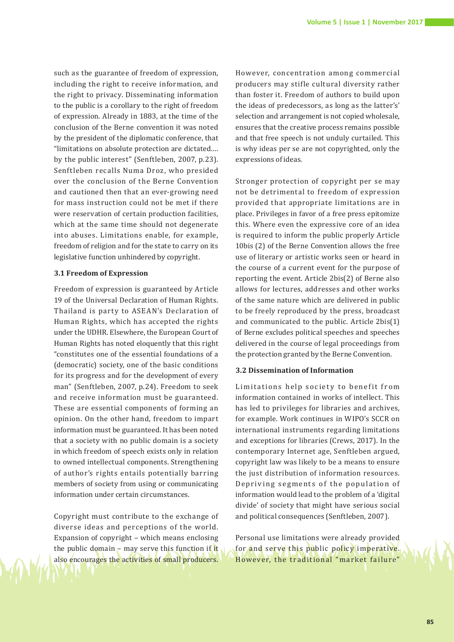such as the guarantee of freedom of expression, including the right to receive information, and the right to privacy. Disseminating information to the public is a corollary to the right of freedom of expression. Already in 1883, at the time of the conclusion of the Berne convention it was noted by the president of the diplomatic conference, that "limitations on absolute protection are dictated…. by the public interest" (Senftleben, 2007, p.23). Senftleben recalls Numa Droz, who presided over the conclusion of the Berne Convention and cautioned then that an ever-growing need for mass instruction could not be met if there were reservation of certain production facilities, which at the same time should not degenerate into abuses. Limitations enable, for example, freedom of religion and for the state to carry on its legislative function unhindered by copyright.

#### **3.1 Freedom of Expression**

Freedom of expression is guaranteed by Article 19 of the Universal Declaration of Human Rights. Thailand is party to ASEAN's Declaration of Human Rights, which has accepted the rights under the UDHR. Elsewhere, the European Court of Human Rights has noted eloquently that this right "constitutes one of the essential foundations of a (democratic) society, one of the basic conditions for its progress and for the development of every man" (Senftleben, 2007, p.24). Freedom to seek and receive information must be guaranteed. These are essential components of forming an opinion. On the other hand, freedom to impart information must be guaranteed. It has been noted that a society with no public domain is a society in which freedom of speech exists only in relation to owned intellectual components. Strengthening of author's rights entails potentially barring members of society from using or communicating information under certain circumstances.

Copyright must contribute to the exchange of diverse ideas and perceptions of the world. Expansion of copyright – which means enclosing the public domain – may serve this function if it also encourages the activities of small producers.

However, concentration among commercial producers may stifle cultural diversity rather than foster it. Freedom of authors to build upon the ideas of predecessors, as long as the latter's' selection and arrangement is not copied wholesale, ensures that the creative process remains possible and that free speech is not unduly curtailed. This is why ideas per se are not copyrighted, only the expressions of ideas.

Stronger protection of copyright per se may not be detrimental to freedom of expression provided that appropriate limitations are in place. Privileges in favor of a free press epitomize this. Where even the expressive core of an idea is required to inform the public properly Article 10bis (2) of the Berne Convention allows the free use of literary or artistic works seen or heard in the course of a current event for the purpose of reporting the event. Article 2bis(2) of Berne also allows for lectures, addresses and other works of the same nature which are delivered in public to be freely reproduced by the press, broadcast and communicated to the public. Article 2bis(1) of Berne excludes political speeches and speeches delivered in the course of legal proceedings from the protection granted by the Berne Convention.

#### **3.2 Dissemination of Information**

Limitations help society to benefit from information contained in works of intellect. This has led to privileges for libraries and archives, for example. Work continues in WIPO's SCCR on international instruments regarding limitations and exceptions for libraries (Crews, 2017). In the contemporary Internet age, Senftleben argued, copyright law was likely to be a means to ensure the just distribution of information resources. Depriving segments of the population of information would lead to the problem of a 'digital divide' of society that might have serious social and political consequences (Senftleben, 2007).

Personal use limitations were already provided for and serve this public policy imperative. However, the traditional "market failure"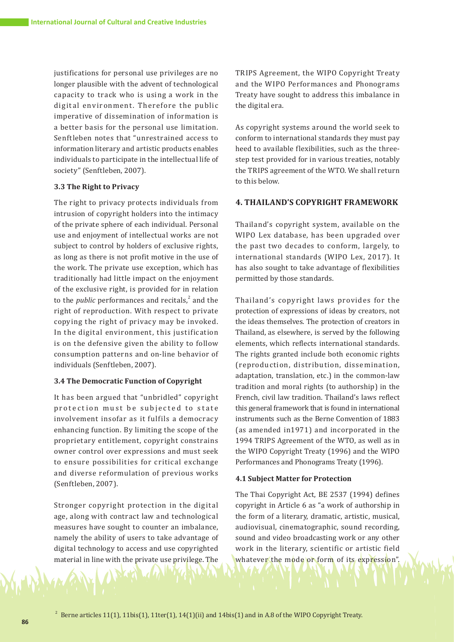justifications for personal use privileges are no longer plausible with the advent of technological capacity to track who is using a work in the digital environment. Therefore the public imperative of dissemination of information is a better basis for the personal use limitation. Senftleben notes that "unrestrained access to information literary and artistic products enables individuals to participate in the intellectual life of society" (Senftleben, 2007).

# **3.3 The Right to Privacy**

The right to privacy protects individuals from intrusion of copyright holders into the intimacy of the private sphere of each individual. Personal use and enjoyment of intellectual works are not subject to control by holders of exclusive rights, as long as there is not profit motive in the use of the work. The private use exception, which has traditionally had little impact on the enjoyment of the exclusive right, is provided for in relation to the *public* performances and recitals, $\lambda^2$  and the right of reproduction. With respect to private copying the right of privacy may be invoked. In the digital environment, this justification is on the defensive given the ability to follow consumption patterns and on-line behavior of individuals (Senftleben, 2007).

## **3.4 The Democratic Function of Copyright**

It has been argued that "unbridled" copyright protection must be subjected to state involvement insofar as it fulfils a democracy enhancing function. By limiting the scope of the proprietary entitlement, copyright constrains owner control over expressions and must seek to ensure possibilities for critical exchange and diverse reformulation of previous works (Senftleben, 2007).

Stronger copyright protection in the digital age, along with contract law and technological measures have sought to counter an imbalance, namely the ability of users to take advantage of digital technology to access and use copyrighted material in line with the private use privilege. The

TRIPS Agreement, the WIPO Copyright Treaty and the WIPO Performances and Phonograms Treaty have sought to address this imbalance in the digital era.

As copyright systems around the world seek to conform to international standards they must pay heed to available flexibilities, such as the threestep test provided for in various treaties, notably the TRIPS agreement of the WTO. We shall return to this below.

# **4. THAILAND'S COPYRIGHT FRAMEWORK**

Thailand's copyright system, available on the WIPO Lex database, has been upgraded over the past two decades to conform, largely, to international standards (WIPO Lex, 2017). It has also sought to take advantage of flexibilities permitted by those standards.

Thailand's copyright laws provides for the protection of expressions of ideas by creators, not the ideas themselves. The protection of creators in Thailand, as elsewhere, is served by the following elements, which reflects international standards. The rights granted include both economic rights (reproduction, distribution, dissemination, adaptation, translation, etc.) in the common-law tradition and moral rights (to authorship) in the French, civil law tradition. Thailand's laws reflect this general framework that is found in international instruments such as the Berne Convention of 1883 (as amended in1971) and incorporated in the 1994 TRIPS Agreement of the WTO, as well as in the WIPO Copyright Treaty (1996) and the WIPO Performances and Phonograms Treaty (1996).

#### **4.1 Subject Matter for Protection**

The Thai Copyright Act, BE 2537 (1994) defines copyright in Article 6 as "a work of authorship in the form of a literary, dramatic, artistic, musical, audiovisual, cinematographic, sound recording, sound and video broadcasting work or any other work in the literary, scientific or artistic field whatever the mode or form of its expression".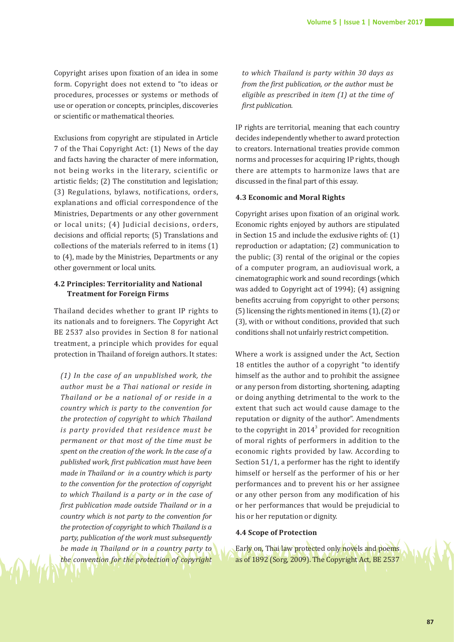Copyright arises upon fixation of an idea in some form. Copyright does not extend to "to ideas or procedures, processes or systems or methods of use or operation or concepts, principles, discoveries or scientific or mathematical theories.

Exclusions from copyright are stipulated in Article 7 of the Thai Copyright Act: (1) News of the day and facts having the character of mere information, not being works in the literary, scientific or artistic fields; (2) The constitution and legislation; (3) Regulations, bylaws, notifications, orders, explanations and official correspondence of the Ministries, Departments or any other government or local units; (4) Judicial decisions, orders, decisions and official reports; (5) Translations and collections of the materials referred to in items (1) to (4), made by the Ministries, Departments or any other government or local units.

# **4.2 Principles: Territoriality and National Treatment for Foreign Firms**

Thailand decides whether to grant IP rights to its nationals and to foreigners. The Copyright Act BE 2537 also provides in Section 8 for national treatment, a principle which provides for equal protection in Thailand of foreign authors. It states:

*(1) In the case of an unpublished work, the author must be a Thai national or reside in Thailand or be a national of or reside in a country which is party to the convention for the protection of copyright to which Thailand is party provided that residence must be permanent or that most of the time must be spent on the creation of the work. In the case of a published work, first publication must have been made in Thailand or in a country which is party to the convention for the protection of copyright to which Thailand is a party or in the case of first publication made outside Thailand or in a country which is not party to the convention for the protection of copyright to which Thailand is a party, publication of the work must subsequently be made in Thailand or in a country party to the convention for the protection of copyright* 

*to which Thailand is party within 30 days as from the first publication, or the author must be eligible as prescribed in item (1) at the time of first publication.*

IP rights are territorial, meaning that each country decides independently whether to award protection to creators. International treaties provide common norms and processes for acquiring IP rights, though there are attempts to harmonize laws that are discussed in the final part of this essay.

#### **4.3 Economic and Moral Rights**

Copyright arises upon fixation of an original work. Economic rights enjoyed by authors are stipulated in Section 15 and include the exclusive rights of: (1) reproduction or adaptation; (2) communication to the public; (3) rental of the original or the copies of a computer program, an audiovisual work, a cinematographic work and sound recordings (which was added to Copyright act of 1994); (4) assigning benefits accruing from copyright to other persons; (5) licensing the rights mentioned in items (1), (2) or (3), with or without conditions, provided that such conditions shall not unfairly restrict competition.

Where a work is assigned under the Act, Section 18 entitles the author of a copyright "to identify himself as the author and to prohibit the assignee or any person from distorting, shortening, adapting or doing anything detrimental to the work to the extent that such act would cause damage to the reputation or dignity of the author". Amendments to the copyright in  $2014^3$  provided for recognition of moral rights of performers in addition to the economic rights provided by law. According to Section 51/1, a performer has the right to identify himself or herself as the performer of his or her performances and to prevent his or her assignee or any other person from any modification of his or her performances that would be prejudicial to his or her reputation or dignity.

#### **4.4 Scope of Protection**

Early on, Thai law protected only novels and poems as of 1892 (Sorg, 2009). The Copyright Act, BE 2537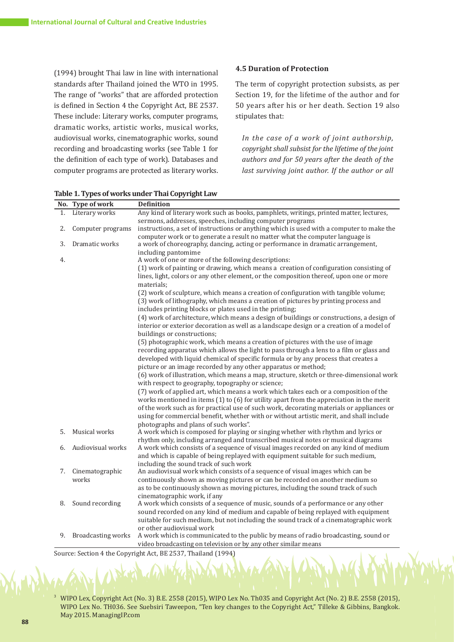(1994) brought Thai law in line with international standards after Thailand joined the WTO in 1995. The range of "works" that are afforded protection is defined in Section 4 the Copyright Act, BE 2537. These include: Literary works, computer programs, dramatic works, artistic works, musical works, audiovisual works, cinematographic works, sound recording and broadcasting works (see Table 1 for the definition of each type of work). Databases and computer programs are protected as literary works.

# **4.5 Duration of Protection**

The term of copyright protection subsists, as per Section 19, for the lifetime of the author and for 50 years after his or her death. Section 19 also stipulates that:

*In the case of a work of joint authorship, copyright shall subsist for the lifetime of the joint authors and for 50 years after the death of the last surviving joint author. If the author or all* 

|    | No. Type of work          | <b>Definition</b>                                                                                                                                                |
|----|---------------------------|------------------------------------------------------------------------------------------------------------------------------------------------------------------|
| 1. | Literary works            | Any kind of literary work such as books, pamphlets, writings, printed matter, lectures,                                                                          |
| 2. | Computer programs         | sermons, addresses, speeches, including computer programs<br>instructions, a set of instructions or anything which is used with a computer to make the           |
| 3. | Dramatic works            | computer work or to generate a result no matter what the computer language is<br>a work of choreography, dancing, acting or performance in dramatic arrangement, |
| 4. |                           | including pantomime<br>A work of one or more of the following descriptions:                                                                                      |
|    |                           | (1) work of painting or drawing, which means a creation of configuration consisting of                                                                           |
|    |                           | lines, light, colors or any other element, or the composition thereof, upon one or more<br>materials;                                                            |
|    |                           | (2) work of sculpture, which means a creation of configuration with tangible volume;                                                                             |
|    |                           | (3) work of lithography, which means a creation of pictures by printing process and                                                                              |
|    |                           | includes printing blocks or plates used in the printing;                                                                                                         |
|    |                           | (4) work of architecture, which means a design of buildings or constructions, a design of                                                                        |
|    |                           | interior or exterior decoration as well as a landscape design or a creation of a model of<br>buildings or constructions;                                         |
|    |                           | (5) photographic work, which means a creation of pictures with the use of image                                                                                  |
|    |                           | recording apparatus which allows the light to pass through a lens to a film or glass and                                                                         |
|    |                           | developed with liquid chemical of specific formula or by any process that creates a                                                                              |
|    |                           | picture or an image recorded by any other apparatus or method;                                                                                                   |
|    |                           | (6) work of illustration, which means a map, structure, sketch or three-dimensional work                                                                         |
|    |                           | with respect to geography, topography or science;                                                                                                                |
|    |                           | (7) work of applied art, which means a work which takes each or a composition of the                                                                             |
|    |                           | works mentioned in items (1) to (6) for utility apart from the appreciation in the merit                                                                         |
|    |                           | of the work such as for practical use of such work, decorating materials or appliances or                                                                        |
|    |                           | using for commercial benefit, whether with or without artistic merit, and shall include                                                                          |
|    |                           | photographs and plans of such works".                                                                                                                            |
| 5. | Musical works             | A work which is composed for playing or singing whether with rhythm and lyrics or                                                                                |
|    |                           | rhythm only, including arranged and transcribed musical notes or musical diagrams                                                                                |
| 6. | Audiovisual works         | A work which consists of a sequence of visual images recorded on any kind of medium                                                                              |
|    |                           | and which is capable of being replayed with equipment suitable for such medium,                                                                                  |
|    |                           | including the sound track of such work                                                                                                                           |
| 7. | Cinematographic           | An audiovisual work which consists of a sequence of visual images which can be                                                                                   |
|    | works                     | continuously shown as moving pictures or can be recorded on another medium so                                                                                    |
|    |                           | as to be continuously shown as moving pictures, including the sound track of such                                                                                |
|    |                           | cinematographic work, if any                                                                                                                                     |
| 8. | Sound recording           | A work which consists of a sequence of music, sounds of a performance or any other                                                                               |
|    |                           | sound recorded on any kind of medium and capable of being replayed with equipment                                                                                |
|    |                           | suitable for such medium, but not including the sound track of a cinematographic work                                                                            |
|    |                           | or other audiovisual work                                                                                                                                        |
| 9. | <b>Broadcasting works</b> | A work which is communicated to the public by means of radio broadcasting, sound or                                                                              |
|    |                           | video broadcasting on television or by any other similar means                                                                                                   |

**Table 1. Types of works under Thai Copyright Law**

Source: Section 4 the Copyright Act, BE 2537, Thailand (1994)

<sup>3</sup> WIPO Lex, Copyright Act (No. 3) B.E. 2558 (2015), WIPO Lex No. Th035 and Copyright Act (No. 2) B.E. 2558 (2015), WIPO Lex No. TH036. See Suebsiri Taweepon, "Ten key changes to the Copyright Act," Tilleke & Gibbins, Bangkok. May 2015. ManagingIP.com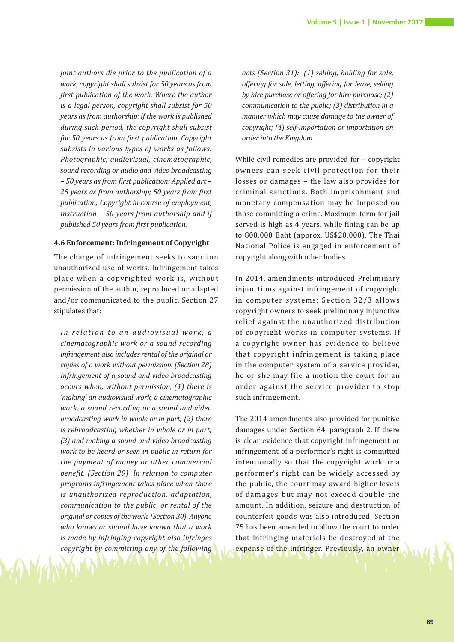*joint authors die prior to the publication of a work, copyright shall subsist for 50 years as from first publication of the work. Where the author is a legal person, copyright shall subsist for 50 years as from authorship; if the work is published during such period, the copyright shall subsist for 50 years as from first publication. Copyright subsists in various types of works as follows: Photographic, audiovisual, cinematographic, sound recording or audio and video broadcasting – 50 years as from first publication; Applied art – 25 years as from authorship; 50 years from first publication; Copyright in course of employment, instruction – 50 years from authorship and if published 50 years from first publication.*

#### **4.6 Enforcement: Infringement of Copyright**

The charge of infringement seeks to sanction unauthorized use of works. Infringement takes place when a copyrighted work is, without permission of the author, reproduced or adapted and/or communicated to the public. Section 27 stipulates that:

In relation to an audiovisual work, a *cinematographic work or a sound recording infringement also includes rental of the original or copies of a work without permission. (Section 28) Infringement of a sound and video broadcasting occurs when, without permission, (1) there is 'making' an audiovisual work, a cinematographic work, a sound recording or a sound and video broadcasting work in whole or in part; (2) there is rebroadcasting whether in whole or in part; (3) and making a sound and video broadcasting work to be heard or seen in public in return for the payment of money or other commercial benefit. (Section 29) In relation to computer programs infringement takes place when there is unauthorized reproduction, adaptation, communication to the public, or rental of the original or copies of the work. (Section 30) Anyone who knows or should have known that a work is made by infringing copyright also infringes copyright by committing any of the following*  *acts (Section 31): (1) selling, holding for sale, offering for sale, letting, offering for lease, selling by hire purchase or offering for hire purchase; (2) communication to the public; (3) distribution in a manner which may cause damage to the owner of copyright; (4) self-importation or importation on order into the Kingdom.* 

While civil remedies are provided for – copyright owners can seek civil protection for their losses or damages – the law also provides for criminal sanctions. Both imprisonment and monetary compensation may be imposed on those committing a crime. Maximum term for jail served is high as 4 years, while fining can be up to 800,000 Baht (approx. US\$20,000). The Thai National Police is engaged in enforcement of copyright along with other bodies.

In 2014, amendments introduced Preliminary injunctions against infringement of copyright in computer systems: Section 32/3 allows copyright owners to seek preliminary injunctive relief against the unauthorized distribution of copyright works in computer systems. If a copyright owner has evidence to believe that copyright infringement is taking place in the computer system of a service provider, he or she may file a motion the court for an order against the service provider to stop such infringement.

The 2014 amendments also provided for punitive damages under Section 64, paragraph 2. If there is clear evidence that copyright infringement or infringement of a performer's right is committed intentionally so that the copyright work or a performer's right can be widely accessed by the public, the court may award higher levels of damages but may not exceed double the amount. In addition, seizure and destruction of counterfeit goods was also introduced. Section 75 has been amended to allow the court to order that infringing materials be destroyed at the expense of the infringer. Previously, an owner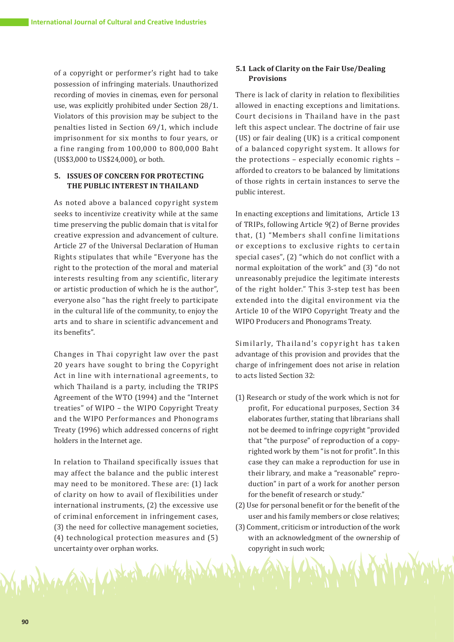of a copyright or performer's right had to take possession of infringing materials. Unauthorized recording of movies in cinemas, even for personal use, was explicitly prohibited under Section 28/1. Violators of this provision may be subject to the penalties listed in Section 69/1, which include imprisonment for six months to four years, or a fine ranging from 100,000 to 800,000 Baht (US\$3,000 to US\$24,000), or both.

# **5. ISSUES OF CONCERN FOR PROTECTING THE PUBLIC INTEREST IN THAILAND**

As noted above a balanced copyright system seeks to incentivize creativity while at the same time preserving the public domain that is vital for creative expression and advancement of culture. Article 27 of the Universal Declaration of Human Rights stipulates that while "Everyone has the right to the protection of the moral and material interests resulting from any scientific, literary or artistic production of which he is the author", everyone also "has the right freely to participate in the cultural life of the community, to enjoy the arts and to share in scientific advancement and its benefits".

Changes in Thai copyright law over the past 20 years have sought to bring the Copyright Act in line with international agreements, to which Thailand is a party, including the TRIPS Agreement of the WTO (1994) and the "Internet treaties" of WIPO – the WIPO Copyright Treaty and the WIPO Performances and Phonograms Treaty (1996) which addressed concerns of right holders in the Internet age.

In relation to Thailand specifically issues that may affect the balance and the public interest may need to be monitored. These are: (1) lack of clarity on how to avail of flexibilities under international instruments, (2) the excessive use of criminal enforcement in infringement cases, (3) the need for collective management societies, (4) technological protection measures and (5) uncertainty over orphan works.

Until 19

# **5.1 Lack of Clarity on the Fair Use/Dealing Provisions**

There is lack of clarity in relation to flexibilities allowed in enacting exceptions and limitations. Court decisions in Thailand have in the past left this aspect unclear. The doctrine of fair use (US) or fair dealing (UK) is a critical component of a balanced copyright system. It allows for the protections – especially economic rights – afforded to creators to be balanced by limitations of those rights in certain instances to serve the public interest.

In enacting exceptions and limitations, Article 13 of TRIPs, following Article 9(2) of Berne provides that, (1) "Members shall confine limitations or exceptions to exclusive rights to certain special cases", (2) "which do not conflict with a normal exploitation of the work" and (3) "do not unreasonably prejudice the legitimate interests of the right holder." This 3-step test has been extended into the digital environment via the Article 10 of the WIPO Copyright Treaty and the WIPO Producers and Phonograms Treaty.

Similarly, Thailand's copyright has taken advantage of this provision and provides that the charge of infringement does not arise in relation to acts listed Section 32:

- (1) Research or study of the work which is not for profit, For educational purposes, Section 34 elaborates further, stating that librarians shall not be deemed to infringe copyright "provided that "the purpose" of reproduction of a copyrighted work by them "is not for profit". In this case they can make a reproduction for use in their library, and make a "reasonable" reproduction" in part of a work for another person for the benefit of research or study."
- (2) Use for personal benefit or for the benefit of the user and his family members or close relatives;
- (3) Comment, criticism or introduction of the work with an acknowledgment of the ownership of copyright in such work;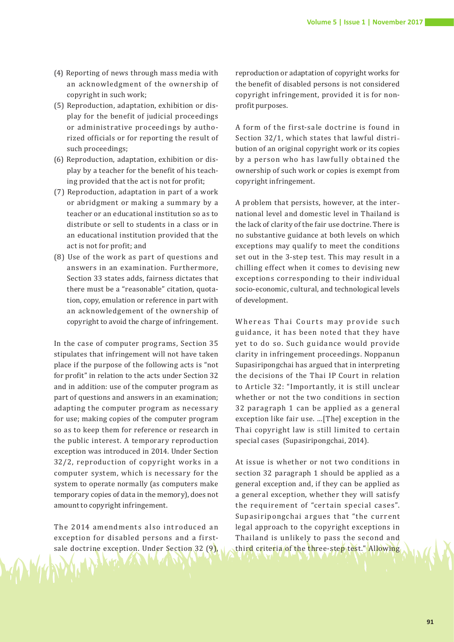- (4) Reporting of news through mass media with an acknowledgment of the ownership of copyright in such work;
- (5) Reproduction, adaptation, exhibition or display for the benefit of judicial proceedings or administrative proceedings by authorized officials or for reporting the result of such proceedings;
- (6) Reproduction, adaptation, exhibition or display by a teacher for the benefit of his teaching provided that the act is not for profit;
- (7) Reproduction, adaptation in part of a work or abridgment or making a summary by a teacher or an educational institution so as to distribute or sell to students in a class or in an educational institution provided that the act is not for profit; and
- (8) Use of the work as part of questions and answers in an examination. Furthermore, Section 33 states adds, fairness dictates that there must be a "reasonable" citation, quotation, copy, emulation or reference in part with an acknowledgement of the ownership of copyright to avoid the charge of infringement.

In the case of computer programs, Section 35 stipulates that infringement will not have taken place if the purpose of the following acts is "not for profit" in relation to the acts under Section 32 and in addition: use of the computer program as part of questions and answers in an examination; adapting the computer program as necessary for use; making copies of the computer program so as to keep them for reference or research in the public interest. A temporary reproduction exception was introduced in 2014. Under Section 32/2, reproduction of copyright works in a computer system, which is necessary for the system to operate normally (as computers make temporary copies of data in the memory), does not amount to copyright infringement.

The 2014 amendments also introduced an exception for disabled persons and a firstsale doctrine exception. Under Section 32 (9), reproduction or adaptation of copyright works for the benefit of disabled persons is not considered copyright infringement, provided it is for nonprofit purposes.

A form of the first-sale doctrine is found in Section 32/1, which states that lawful distribution of an original copyright work or its copies by a person who has lawfully obtained the ownership of such work or copies is exempt from copyright infringement.

A problem that persists, however, at the international level and domestic level in Thailand is the lack of clarity of the fair use doctrine. There is no substantive guidance at both levels on which exceptions may qualify to meet the conditions set out in the 3-step test. This may result in a chilling effect when it comes to devising new exceptions corresponding to their individual socio-economic, cultural, and technological levels of development.

Whereas Thai Courts may provide such guidance, it has been noted that they have yet to do so. Such guidance would provide clarity in infringement proceedings. Noppanun Supasiripongchai has argued that in interpreting the decisions of the Thai IP Court in relation to Article 32: "Importantly, it is still unclear whether or not the two conditions in section 32 paragraph 1 can be applied as a general exception like fair use. …[The] exception in the Thai copyright law is still limited to certain special cases (Supasiripongchai, 2014).

At issue is whether or not two conditions in section 32 paragraph 1 should be applied as a general exception and, if they can be applied as a general exception, whether they will satisfy the requirement of "certain special cases". Supasiripongchai argues that "the current legal approach to the copyright exceptions in Thailand is unlikely to pass the second and third criteria of the three-step test." Allowing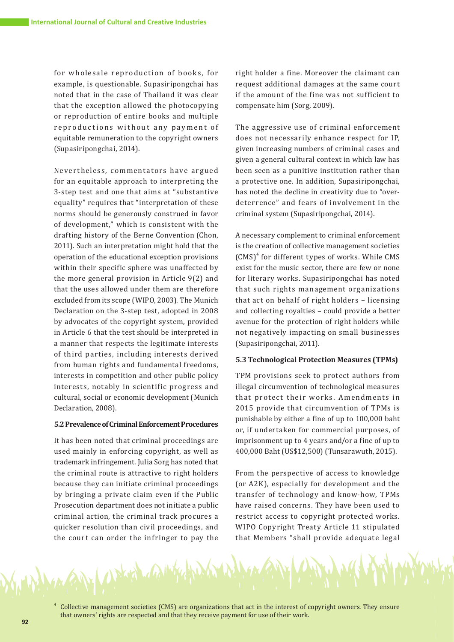for wholesale reproduction of books, for example, is questionable. Supasiripongchai has noted that in the case of Thailand it was clear that the exception allowed the photocopying or reproduction of entire books and multiple reproductions without any payment of equitable remuneration to the copyright owners (Supasiripongchai, 2014).

Nevertheless, commentators have argued for an equitable approach to interpreting the 3-step test and one that aims at "substantive equality" requires that "interpretation of these norms should be generously construed in favor of development," which is consistent with the drafting history of the Berne Convention (Chon, 2011). Such an interpretation might hold that the operation of the educational exception provisions within their specific sphere was unaffected by the more general provision in Article 9(2) and that the uses allowed under them are therefore excluded from its scope (WIPO, 2003). The Munich Declaration on the 3-step test, adopted in 2008 by advocates of the copyright system, provided in Article 6 that the test should be interpreted in a manner that respects the legitimate interests of third parties, including interests derived from human rights and fundamental freedoms, interests in competition and other public policy interests, notably in scientific progress and cultural, social or economic development (Munich Declaration, 2008).

# **5.2 Prevalence of Criminal Enforcement Procedures**

It has been noted that criminal proceedings are used mainly in enforcing copyright, as well as trademark infringement. Julia Sorg has noted that the criminal route is attractive to right holders because they can initiate criminal proceedings by bringing a private claim even if the Public Prosecution department does not initiate a public criminal action, the criminal track procures a quicker resolution than civil proceedings, and the court can order the infringer to pay the right holder a fine. Moreover the claimant can request additional damages at the same court if the amount of the fine was not sufficient to compensate him (Sorg, 2009).

The aggressive use of criminal enforcement does not necessarily enhance respect for IP, given increasing numbers of criminal cases and given a general cultural context in which law has been seen as a punitive institution rather than a protective one. In addition, Supasiripongchai, has noted the decline in creativity due to "overdeterrence" and fears of involvement in the criminal system (Supasiripongchai, 2014).

A necessary complement to criminal enforcement is the creation of collective management societies  $(CMS)^4$  for different types of works. While CMS exist for the music sector, there are few or none for literary works. Supasiripongchai has noted that such rights management organizations that act on behalf of right holders – licensing and collecting royalties – could provide a better avenue for the protection of right holders while not negatively impacting on small businesses (Supasiripongchai, 2011).

#### **5.3 Technological Protection Measures (TPMs)**

TPM provisions seek to protect authors from illegal circumvention of technological measures that protect their works. Amendments in 2015 provide that circumvention of TPMs is punishable by either a fine of up to 100,000 baht or, if undertaken for commercial purposes, of imprisonment up to 4 years and/or a fine of up to 400,000 Baht (US\$12,500) (Tunsarawuth, 2015).

From the perspective of access to knowledge (or A2K), especially for development and the transfer of technology and know-how, TPMs have raised concerns. They have been used to restrict access to copyright protected works. WIPO Copyright Treaty Article 11 stipulated that Members "shall provide adequate legal



<sup>4</sup> Collective management societies (CMS) are organizations that act in the interest of copyright owners. They ensure that owners' rights are respected and that they receive payment for use of their work.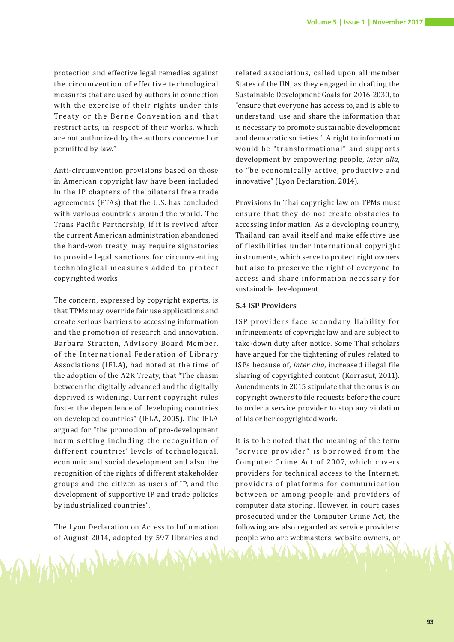protection and effective legal remedies against the circumvention of effective technological measures that are used by authors in connection with the exercise of their rights under this Treaty or the Berne Convention and that restrict acts, in respect of their works, which are not authorized by the authors concerned or permitted by law."

Anti-circumvention provisions based on those in American copyright law have been included in the IP chapters of the bilateral free trade agreements (FTAs) that the U.S. has concluded with various countries around the world. The Trans Pacific Partnership, if it is revived after the current American administration abandoned the hard-won treaty, may require signatories to provide legal sanctions for circumventing technological measures added to protect copyrighted works.

The concern, expressed by copyright experts, is that TPMs may override fair use applications and create serious barriers to accessing information and the promotion of research and innovation. Barbara Stratton, Advisory Board Member, of the International Federation of Library Associations (IFLA), had noted at the time of the adoption of the A2K Treaty, that "The chasm between the digitally advanced and the digitally deprived is widening. Current copyright rules foster the dependence of developing countries on developed countries" (IFLA, 2005). The IFLA argued for "the promotion of pro-development norm setting including the recognition of different countries' levels of technological, economic and social development and also the recognition of the rights of different stakeholder groups and the citizen as users of IP, and the development of supportive IP and trade policies by industrialized countries".

The Lyon Declaration on Access to Information of August 2014, adopted by 597 libraries and

Whitplink and

related associations, called upon all member States of the UN, as they engaged in drafting the Sustainable Development Goals for 2016-2030, to "ensure that everyone has access to, and is able to understand, use and share the information that is necessary to promote sustainable development and democratic societies." A right to information would be "transformational" and supports development by empowering people, *inter alia*, to " be economically active, productive and innovative" (Lyon Declaration, 2014).

Provisions in Thai copyright law on TPMs must ensure that they do not create obstacles to accessing information. As a developing country, Thailand can avail itself and make effective use of flexibilities under international copyright instruments, which serve to protect right owners but also to preserve the right of everyone to access and share information necessary for sustainable development.

# **5.4 ISP Providers**

ISP providers face secondary liability for infringements of copyright law and are subject to take-down duty after notice. Some Thai scholars have argued for the tightening of rules related to ISPs because of, *inter alia*, increased illegal file sharing of copyrighted content (Korrasut, 2011). Amendments in 2015 stipulate that the onus is on copyright owners to file requests before the court to order a service provider to stop any violation of his or her copyrighted work.

It is to be noted that the meaning of the term "service provider" is borrowed from the Computer Crime Act of 2007, which covers providers for technical access to the Internet, providers of platforms for communication bet ween or among people and providers of computer data storing. However, in court cases prosecuted under the Computer Crime Act, the following are also regarded as service providers: people who are webmasters, website owners, or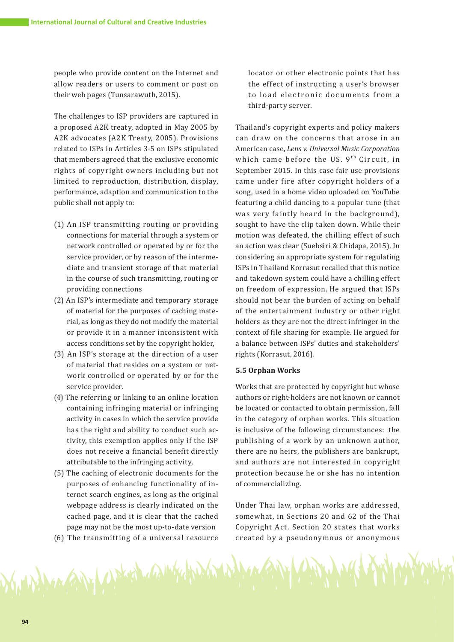people who provide content on the Internet and allow readers or users to comment or post on their web pages (Tunsarawuth, 2015).

The challenges to ISP providers are captured in a proposed A2K treaty, adopted in May 2005 by A2K advocates (A2K Treaty, 2005). Provisions related to ISPs in Articles 3-5 on ISPs stipulated that members agreed that the exclusive economic rights of copyright owners including but not limited to reproduction, distribution, display, performance, adaption and communication to the public shall not apply to:

- (1) An ISP transmitting routing or providing connections for material through a system or network controlled or operated by or for the service provider, or by reason of the intermediate and transient storage of that material in the course of such transmitting, routing or providing connections
- (2) An ISP's intermediate and temporary storage of material for the purposes of caching material, as long as they do not modify the material or provide it in a manner inconsistent with access conditions set by the copyright holder,
- (3) An ISP's storage at the direction of a user of material that resides on a system or network controlled or operated by or for the service provider.
- (4) The referring or linking to an online location containing infringing material or infringing activity in cases in which the service provide has the right and ability to conduct such activity, this exemption applies only if the ISP does not receive a financial benefit directly attributable to the infringing activity,
- (5) The caching of electronic documents for the purposes of enhancing functionality of internet search engines, as long as the original webpage address is clearly indicated on the cached page, and it is clear that the cached page may not be the most up-to-date version
- (6) The transmitting of a universal resource

A POLY A DECALL A INTERNATIONAL

locator or other electronic points that has the effect of instructing a user's browser to load electronic documents from a third-party server.

Thailand's copyright experts and policy makers can draw on the concerns that arose in an American case, *Lens v. Universal Music Corporation* which came before the US. 9<sup>th</sup> Circuit, in September 2015. In this case fair use provisions came under fire after copyright holders of a song, used in a home video uploaded on YouTube featuring a child dancing to a popular tune (that was very faintly heard in the background), sought to have the clip taken down. While their motion was defeated, the chilling effect of such an action was clear (Suebsiri & Chidapa, 2015). In considering an appropriate system for regulating ISPs in Thailand Korrasut recalled that this notice and takedown system could have a chilling effect on freedom of expression. He argued that ISPs should not bear the burden of acting on behalf of the entertainment industry or other right holders as they are not the direct infringer in the context of file sharing for example. He argued for a balance between ISPs' duties and stakeholders' rights (Korrasut, 2016).

## **5.5 Orphan Works**

Works that are protected by copyright but whose authors or right-holders are not known or cannot be located or contacted to obtain permission, fall in the category of orphan works. This situation is inclusive of the following circumstances: the publishing of a work by an unknown author, there are no heirs, the publishers are bankrupt, and authors are not interested in copyright protection because he or she has no intention of commercializing.

Under Thai law, orphan works are addressed, somewhat, in Sections 20 and 62 of the Thai Copyright Act. Section 20 states that works created by a pseudonymous or anonymous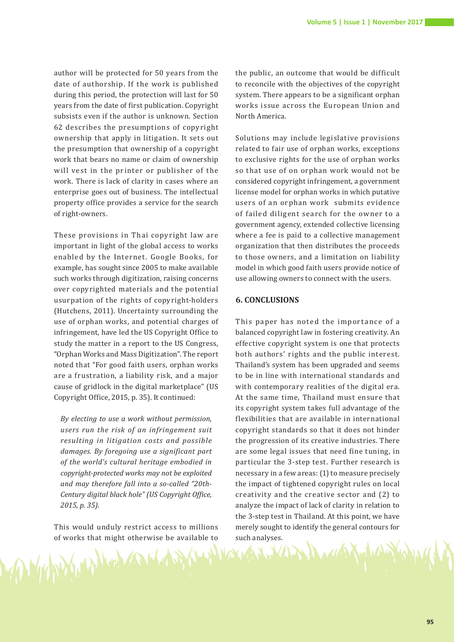author will be protected for 50 years from the date of authorship. If the work is published during this period, the protection will last for 50 years from the date of first publication. Copyright subsists even if the author is unknown. Section 62 describes the presumptions of copyright ownership that apply in litigation. It sets out the presumption that ownership of a copyright work that bears no name or claim of ownership will vest in the printer or publisher of the work. There is lack of clarity in cases where an enterprise goes out of business. The intellectual property office provides a service for the search of right-owners.

These provisions in Thai copyright law are important in light of the global access to works enabled by the Internet. Google Books, for example, has sought since 2005 to make available such works through digitization, raising concerns over copyrighted materials and the potential usurpation of the rights of copyright-holders (Hutchens, 2011). Uncertainty surrounding the use of orphan works, and potential charges of infringement, have led the US Copyright Office to study the matter in a report to the US Congress, "Orphan Works and Mass Digitization". The report noted that "For good faith users, orphan works are a frustration, a liability risk, and a major cause of gridlock in the digital marketplace" (US Copyright Office, 2015, p. 35). It continued:

*By electing to use a work without permission, users run the risk of an infringement suit resulting in litigation costs and possible damages. By foregoing use a significant part of the world's cultural heritage embodied in copyright-protected works may not be exploited and may therefore fall into a so-called "20th-Century digital black hole" (US Copyright Office, 2015, p. 35).*

This would unduly restrict access to millions of works that might otherwise be available to<br>
and the contract of the contract of the contract of the contract of the contract of the contract of the contract of the contract of the contract of the contract of the contrac

the public, an outcome that would be difficult to reconcile with the objectives of the copyright system. There appears to be a significant orphan works issue across the European Union and North America.

Solutions may include legislative provisions related to fair use of orphan works, exceptions to exclusive rights for the use of orphan works so that use of on orphan work would not be considered copyright infringement, a government license model for orphan works in which putative users of an orphan work submits evidence of failed diligent search for the owner to a government agency, extended collective licensing where a fee is paid to a collective management organization that then distributes the proceeds to those owners, and a limitation on liability model in which good faith users provide notice of use allowing owners to connect with the users.

# **6. CONCLUSIONS**

This paper has noted the importance of a balanced copyright law in fostering creativity. An effective copyright system is one that protects both authors' rights and the public interest. Thailand's system has been upgraded and seems to be in line with international standards and with contemporary realities of the digital era. At the same time, Thailand must ensure that its copyright system takes full advantage of the flexibilities that are available in international copyright standards so that it does not hinder the progression of its creative industries. There are some legal issues that need fine tuning, in particular the 3-step test. Further research is necessary in a few areas: (1) to measure precisely the impact of tightened copyright rules on local creativity and the creative sector and (2) to analyze the impact of lack of clarity in relation to the 3-step test in Thailand. At this point, we have merely sought to identify the general contours for such analyses.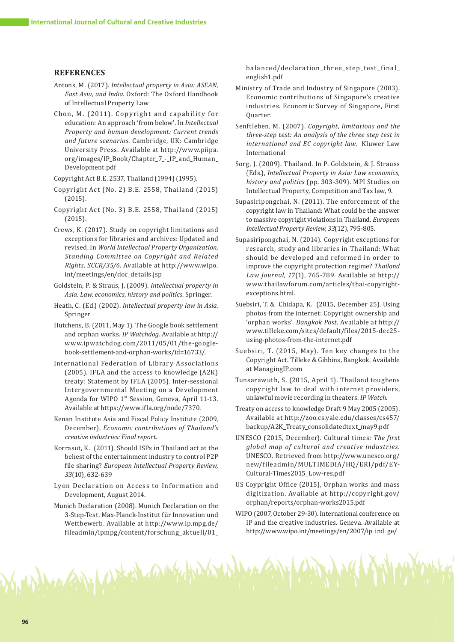#### **REFERENCES**

- Antons, M. (2017). *Intellectual property in Asia: ASEAN, East Asia, and India*. Oxford: The Oxford Handbook of Intellectual Property Law
- Chon, M. (2011). Copyright and capability for education: An approach 'from below'. In *Intellectual Property and human development: Current trends and future scenarios*. Cambridge, UK: Cambridge University Press. Available at http://www.piipa. org/images/IP\_Book/Chapter\_7\_-\_IP\_and\_Human\_ Development.pdf

Copyright Act B.E. 2537, Thailand (1994) (1995).

- Copyright Act (No. 2) B.E. 2558, Thailand (2015) (2015).
- Copyright Act (No. 3) B.E. 2558, Thailand (2015) (2015).
- Crews, K. (2017). Study on copyright limitations and exceptions for libraries and archives: Updated and revised. In *World Intellectual Property Organization, Standing Committee on Copyright and Related Rights, SCCR/35/6*. Available at http://www.wipo. int/meetings/en/doc\_details.jsp
- Goldstein, P. & Straus, J. (2009). *Intellectual property in Asia. Law, economics, history and politics*. Springer.
- Heath, C. (Ed.) (2002). *Intellectual property law in Asia*. Springer
- Hutchens, B. (2011, May 1). The Google book settlement and orphan works. *IP Watchdog*. Available at http:// www.ipwatchdog.com/2011/05/01/the-googlebook-settlement-and-orphan-works/id=16733/.
- International Federation of Library Associations (2005). IFLA and the access to knowledge (A2K) treaty: Statement by IFLA (2005). Inter-sessional Intergovernmental Meeting on a Development Agenda for WIPO 1<sup>st</sup> Session, Geneva, April 11-13. Available at https://www.ifla.org/node/7370.
- Kenan Institute Asia and Fiscal Policy Institute (2009, December). *Economic contributions of Thailand's creative industries: Final report.*
- Korrasut, K. (2011). Should ISPs in Thailand act at the behest of the entertainment industry to control P2P file sharing? *European Intellectual Property Review, 33*(10), 632-639
- Lyon Declaration on Access to Information and Development, August 2014.
- Munich Declaration (2008). Munich Declaration on the 3-Step-Test. Max-Planck-Institut für Innovation und Wettbewerb. Available at http://www.ip.mpg.de/ fileadmin/ipmpg/content/forschung\_aktuell/01\_

Man Gifty Worked and the Hidden

balanced/declaration\_three\_step\_test\_final\_ english1.pdf

- Ministry of Trade and Industry of Singapore (2003). Economic contributions of Singapore's creative industries. Economic Survey of Singapore, First Quarter.
- Senftleben, M. (2007). *Copyright, limitations and the three-step test: An analysis of the three step test in international and EC copyright law*. Kluwer Law International
- Sorg, J. (2009). Thailand. In P. Goldstein, & J. Strauss (Eds.), *Intellectual Property in Asia: Law economics, history and politics* (pp. 303-309). MPI Studies on Intellectual Property, Competition and Tax law, 9.
- Supasiripongchai, N. (2011). The enforcement of the copyright law in Thailand: What could be the answer to massive copyright violations in Thailand. *European Intellectual Property Review, 33*(12), 795-805.
- Supasiripongchai, N. (2014). Copyright exceptions for research, study and libraries in Thailand: What should be developed and reformed in order to improve the copyright protection regime? *Thailand Law Journal, 17*(1), 765-789. Available at http:// www.thailawforum.com/articles/thai-copyrightexceptions.html.
- Suebsiri, T. & Chidapa, K. (2015, December 25). Using photos from the internet: Copyright ownership and 'orphan works'. *Bangkok Post*. Available at http:// www.tilleke.com/sites/default/files/2015-dec25 using-photos-from-the-internet.pdf
- Suebsiri, T. (2015, May). Ten key changes to the Copyright Act. Tilleke & Gibbins, Bangkok. Available at ManagingIP.com
- Tunsarawuth, S. (2015, April 1). Thailand toughens copyright law to deal with internet providers, unlawful movie recording in theaters. *IP Watch*.
- Treaty on access to knowledge Draft 9 May 2005 (2005). Available at http://zoo.cs.yale.edu/classes/cs457/ backup/A2K\_Treaty\_consolidatedtext\_may9.pdf
- UNESCO (2015, December). Cultural times: *The first global map of cultural and creative industries.*  UNESCO. Retrieved from http://www.unesco.org/ new/fileadmin/MULTIMEDIA/HQ/ERI/pdf/EY-Cultural-Times2015\_Low-res.pdf
- US Coypright Office (2015), Orphan works and mass digitization. Available at http://copyright.gov/ orphan/reports/orphan-works2015.pdf
- WIPO (2007, October 29-30). International conference on IP and the creative industries. Geneva. Available at http://www.wipo.int/meetings/en/2007/ip\_ind\_ge/